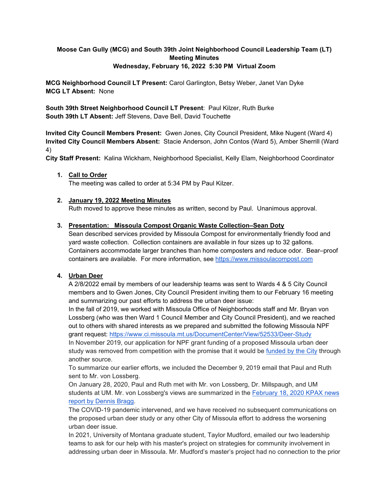# **Moose Can Gully (MCG) and South 39th Joint Neighborhood Council Leadership Team (LT) Meeting Minutes Wednesday, February 16, 2022 5:30 PM Virtual Zoom**

**MCG Neighborhood Council LT Present:** Carol Garlington, Betsy Weber, Janet Van Dyke **MCG LT Absent:** None

**South 39th Street Neighborhood Council LT Present**: Paul Kilzer, Ruth Burke **South 39th LT Absent:** Jeff Stevens, Dave Bell, David Touchette

**Invited City Council Members Present:** Gwen Jones, City Council President, Mike Nugent (Ward 4) **Invited City Council Members Absent:** Stacie Anderson, John Contos (Ward 5), Amber Sherrill (Ward 4)

**City Staff Present:** Kalina Wickham, Neighborhood Specialist, Kelly Elam, Neighborhood Coordinator

#### **1. Call to Order**

The meeting was called to order at 5:34 PM by Paul Kilzer.

## **2. January 19, 2022 Meeting Minutes**

Ruth moved to approve these minutes as written, second by Paul. Unanimous approval.

#### **3. Presentation: Missoula Compost Organic Waste Collection–Sean Doty**

Sean described services provided by Missoula Compost for environmentally friendly food and yard waste collection. Collection containers are available in four sizes up to 32 gallons. Containers accommodate larger branches than home composters and reduce odor. Bear–proof containers are available. For more information, see [https://www.missoulacompost.com](https://www.missoulacompost.com/)

# **4. Urban Deer**

A 2/8/2022 email by members of our leadership teams was sent to Wards 4 & 5 City Council members and to Gwen Jones, City Council President inviting them to our February 16 meeting and summarizing our past efforts to address the urban deer issue:

In the fall of 2019, we worked with Missoula Office of Neighborhoods staff and Mr. Bryan von Lossberg (who was then Ward 1 Council Member and City Council President), and we reached out to others with shared interests as we prepared and submitted the following Missoula NPF grant request: [https://www.ci.missoula.mt.us/DocumentCenter/View/52533/Deer-Study](https://na01.safelinks.protection.outlook.com/?url=https%3A%2F%2Fwww.ci.missoula.mt.us%2FDocumentCenter%2FView%2F52533%2FDeer-Study&data=04%7C01%7C%7C5165a243c39e4a2e139208d9eab775ac%7C84df9e7fe9f640afb435aaaaaaaaaaaa%7C1%7C0%7C637798896400748183%7CUnknown%7CTWFpbGZsb3d8eyJWIjoiMC4wLjAwMDAiLCJQIjoiV2luMzIiLCJBTiI6Ik1haWwiLCJXVCI6Mn0%3D%7C3000&sdata=zkcshQcAYBH%2FmpE2LFPiqU9NNEFIZW4DXX9FOXkrvlY%3D&reserved=0)

In November 2019, our application for NPF grant funding of a proposed Missoula urban deer study was removed from competition with the promise that it would be [funded by the City](https://na01.safelinks.protection.outlook.com/?url=https%3A%2F%2Fwww.ci.missoula.mt.us%2FArchiveCenter%2FViewFile%2FItem%2F14641&data=04%7C01%7C%7C5165a243c39e4a2e139208d9eab775ac%7C84df9e7fe9f640afb435aaaaaaaaaaaa%7C1%7C0%7C637798896400748183%7CUnknown%7CTWFpbGZsb3d8eyJWIjoiMC4wLjAwMDAiLCJQIjoiV2luMzIiLCJBTiI6Ik1haWwiLCJXVCI6Mn0%3D%7C3000&sdata=BreE3mSo1CX51e2JGFVPp7RgHORRtQUiJoEOXxa%2F0UQ%3D&reserved=0) through another source.

To summarize our earlier efforts, we included the December 9, 2019 email that Paul and Ruth sent to Mr. von Lossberg.

On January 28, 2020, Paul and Ruth met with Mr. von Lossberg, Dr. Millspaugh, and UM students at UM. Mr. von Lossberg's views are summarized in the [February 18, 2020 KPAX news](https://na01.safelinks.protection.outlook.com/?url=https%3A%2F%2Fwww.kpax.com%2Fnews%2Flocal-news%2Fmissoula-county%2Fmissoula-to-count-urban-deer&data=04%7C01%7C%7C5165a243c39e4a2e139208d9eab775ac%7C84df9e7fe9f640afb435aaaaaaaaaaaa%7C1%7C0%7C637798896400748183%7CUnknown%7CTWFpbGZsb3d8eyJWIjoiMC4wLjAwMDAiLCJQIjoiV2luMzIiLCJBTiI6Ik1haWwiLCJXVCI6Mn0%3D%7C3000&sdata=Y%2B%2B9e%2Bz%2BU72iSi3eDgX3hv3F%2BtVHBgetn7lvrMsnNzY%3D&reserved=0)  [report by Dennis Bragg.](https://na01.safelinks.protection.outlook.com/?url=https%3A%2F%2Fwww.kpax.com%2Fnews%2Flocal-news%2Fmissoula-county%2Fmissoula-to-count-urban-deer&data=04%7C01%7C%7C5165a243c39e4a2e139208d9eab775ac%7C84df9e7fe9f640afb435aaaaaaaaaaaa%7C1%7C0%7C637798896400748183%7CUnknown%7CTWFpbGZsb3d8eyJWIjoiMC4wLjAwMDAiLCJQIjoiV2luMzIiLCJBTiI6Ik1haWwiLCJXVCI6Mn0%3D%7C3000&sdata=Y%2B%2B9e%2Bz%2BU72iSi3eDgX3hv3F%2BtVHBgetn7lvrMsnNzY%3D&reserved=0)

The COVID-19 pandemic intervened, and we have received no subsequent communications on the proposed urban deer study or any other City of Missoula effort to address the worsening urban deer issue.

In 2021, University of Montana graduate student, Taylor Mudford, emailed our two leadership teams to ask for our help with his master's project on strategies for community involvement in addressing urban deer in Missoula. Mr. Mudford's master's project had no connection to the prior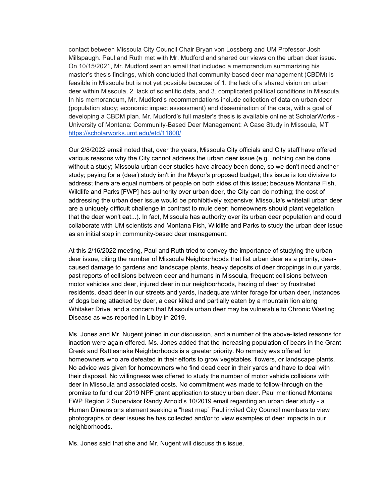contact between Missoula City Council Chair Bryan von Lossberg and UM Professor Josh Millspaugh. Paul and Ruth met with Mr. Mudford and shared our views on the urban deer issue. On 10/15/2021, Mr. Mudford sent an email that included a memorandum summarizing his master's thesis findings, which concluded that community-based deer management (CBDM) is feasible in Missoula but is not yet possible because of 1. the lack of a shared vision on urban deer within Missoula, 2. lack of scientific data, and 3. complicated political conditions in Missoula. In his memorandum, Mr. Mudford's recommendations include collection of data on urban deer (population study; economic impact assessment) and dissemination of the data, with a goal of developing a CBDM plan. Mr. Mudford's full master's thesis is available online at ScholarWorks - University of Montana: Community-Based Deer Management: A Case Study in Missoula, MT [https://scholarworks.umt.edu/etd/11800/](https://na01.safelinks.protection.outlook.com/?url=https%3A%2F%2Fscholarworks.umt.edu%2Fetd%2F11800%2F&data=04%7C01%7C%7C5165a243c39e4a2e139208d9eab775ac%7C84df9e7fe9f640afb435aaaaaaaaaaaa%7C1%7C0%7C637798896400748183%7CUnknown%7CTWFpbGZsb3d8eyJWIjoiMC4wLjAwMDAiLCJQIjoiV2luMzIiLCJBTiI6Ik1haWwiLCJXVCI6Mn0%3D%7C3000&sdata=AYBscS5Azfq21YugarHq9HNulg7cF22MNtM5H3PIcss%3D&reserved=0)

Our 2/8/2022 email noted that, over the years, Missoula City officials and City staff have offered various reasons why the City cannot address the urban deer issue (e.g., nothing can be done without a study; Missoula urban deer studies have already been done, so we don't need another study; paying for a (deer) study isn't in the Mayor's proposed budget; this issue is too divisive to address; there are equal numbers of people on both sides of this issue; because Montana Fish, Wildlife and Parks [FWP] has authority over urban deer, the City can do nothing; the cost of addressing the urban deer issue would be prohibitively expensive; Missoula's whitetail urban deer are a uniquely difficult challenge in contrast to mule deer; homeowners should plant vegetation that the deer won't eat...). In fact, Missoula has authority over its urban deer population and could collaborate with UM scientists and Montana Fish, Wildlife and Parks to study the urban deer issue as an initial step in community-based deer management.

At this 2/16/2022 meeting, Paul and Ruth tried to convey the importance of studying the urban deer issue, citing the number of Missoula Neighborhoods that list urban deer as a priority, deercaused damage to gardens and landscape plants, heavy deposits of deer droppings in our yards, past reports of collisions between deer and humans in Missoula, frequent collisions between motor vehicles and deer, injured deer in our neighborhoods, hazing of deer by frustrated residents, dead deer in our streets and yards, inadequate winter forage for urban deer, instances of dogs being attacked by deer, a deer killed and partially eaten by a mountain lion along Whitaker Drive, and a concern that Missoula urban deer may be vulnerable to Chronic Wasting Disease as was reported in Libby in 2019.

Ms. Jones and Mr. Nugent joined in our discussion, and a number of the above-listed reasons for inaction were again offered. Ms. Jones added that the increasing population of bears in the Grant Creek and Rattlesnake Neighborhoods is a greater priority. No remedy was offered for homeowners who are defeated in their efforts to grow vegetables, flowers, or landscape plants. No advice was given for homeowners who find dead deer in their yards and have to deal with their disposal. No willingness was offered to study the number of motor vehicle collisions with deer in Missoula and associated costs. No commitment was made to follow-through on the promise to fund our 2019 NPF grant application to study urban deer. Paul mentioned Montana FWP Region 2 Supervisor Randy Arnold's 10/2019 email regarding an urban deer study - a Human Dimensions element seeking a "heat map" Paul invited City Council members to view photographs of deer issues he has collected and/or to view examples of deer impacts in our neighborhoods.

Ms. Jones said that she and Mr. Nugent will discuss this issue.